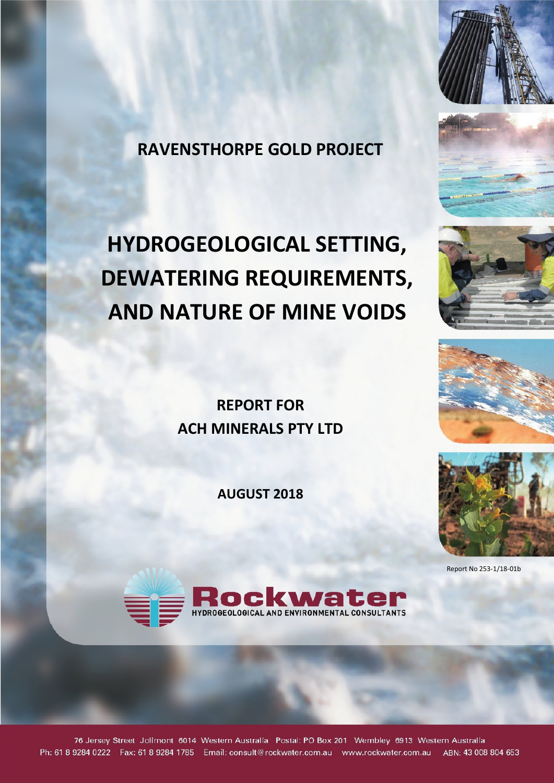

**RAVENSTHORPE GOLD PROJECT** 

# **HYDROGEOLOGICAL SETTING, DEWATERING REQUIREMENTS, AND NATURE OF MINE VOIDS**

**REPORT FOR ACH MINERALS PTY LTD** 

**AUGUST 2018** 







Report No 253-1/18-01b



76 Jersey Street Jolimont 6014 Western Australia Postal: PO Box 201 Wembley 6913 Western Australia Ph: 61 8 9284 0222 Fax: 61 8 9284 1785 Email: consult@rockwater.com.au www.rockwater.com.au ABN: 43 008 804 653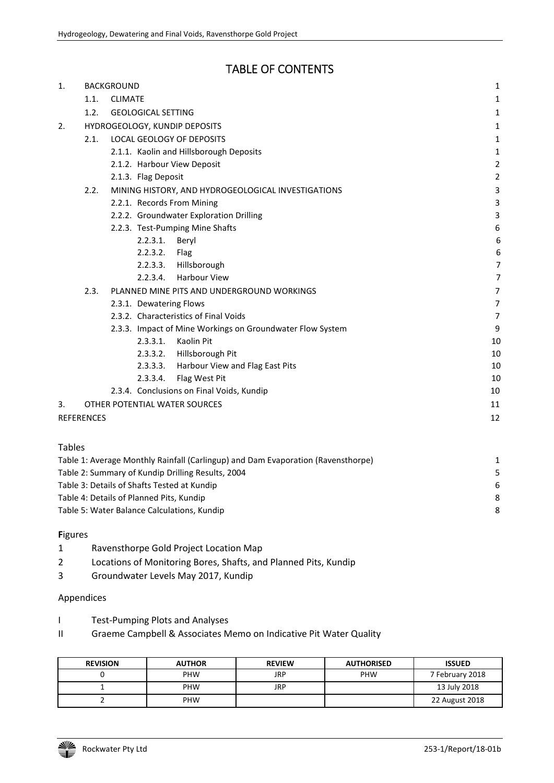# TABLE OF CONTENTS

| 1. |            | <b>BACKGROUND</b> |                           |                                                           | $\mathbf{1}$   |
|----|------------|-------------------|---------------------------|-----------------------------------------------------------|----------------|
|    | 1.1.       | <b>CLIMATE</b>    |                           |                                                           | 1              |
|    | 1.2.       |                   | <b>GEOLOGICAL SETTING</b> |                                                           | 1              |
| 2. |            |                   |                           | HYDROGEOLOGY, KUNDIP DEPOSITS                             | 1              |
|    | 2.1.       |                   |                           | <b>LOCAL GEOLOGY OF DEPOSITS</b>                          | 1              |
|    |            |                   |                           | 2.1.1. Kaolin and Hillsborough Deposits                   | 1              |
|    |            |                   |                           | 2.1.2. Harbour View Deposit                               | $\overline{c}$ |
|    |            |                   | 2.1.3. Flag Deposit       |                                                           | $\overline{c}$ |
|    | 2.2.       |                   |                           | MINING HISTORY, AND HYDROGEOLOGICAL INVESTIGATIONS        | 3              |
|    |            |                   |                           | 2.2.1. Records From Mining                                | 3              |
|    |            |                   |                           | 2.2.2. Groundwater Exploration Drilling                   | 3              |
|    |            |                   |                           | 2.2.3. Test-Pumping Mine Shafts                           | 6              |
|    |            |                   | 2.2.3.1. Beryl            |                                                           | 6              |
|    |            |                   | 2.2.3.2.                  | Flag                                                      | 6              |
|    |            |                   |                           | 2.2.3.3. Hillsborough                                     | 7              |
|    |            |                   |                           | 2.2.3.4. Harbour View                                     | 7              |
|    | 2.3.       |                   |                           | PLANNED MINE PITS AND UNDERGROUND WORKINGS                | 7              |
|    |            |                   | 2.3.1. Dewatering Flows   |                                                           | 7              |
|    |            |                   |                           | 2.3.2. Characteristics of Final Voids                     | 7              |
|    |            |                   |                           | 2.3.3. Impact of Mine Workings on Groundwater Flow System | 9              |
|    |            |                   | 2.3.3.1.                  | Kaolin Pit                                                | 10             |
|    |            |                   | 2.3.3.2.                  | Hillsborough Pit                                          | 10             |
|    |            |                   | 2.3.3.3.                  | Harbour View and Flag East Pits                           | 10             |
|    |            |                   | 2.3.3.4.                  | Flag West Pit                                             | 10             |
|    |            |                   |                           | 2.3.4. Conclusions on Final Voids, Kundip                 | 10             |
| 3. |            |                   |                           | OTHER POTENTIAL WATER SOURCES                             | 11             |
|    | REFERENCES |                   |                           |                                                           | 12             |
|    |            |                   |                           |                                                           |                |

| Table 1: Average Monthly Rainfall (Carlingup) and Dam Evaporation (Ravensthorpe) | 1  |
|----------------------------------------------------------------------------------|----|
| Table 2: Summary of Kundip Drilling Results, 2004                                | .5 |
| Table 3: Details of Shafts Tested at Kundip                                      | 6  |
| Table 4: Details of Planned Pits, Kundip                                         | 8  |
| Table 5: Water Balance Calculations, Kundip                                      | 8  |
|                                                                                  |    |

#### **F**igures

- 1 Ravensthorpe Gold Project Location Map
- 2 Locations of Monitoring Bores, Shafts, and Planned Pits, Kundip
- 3 Groundwater Levels May 2017, Kundip

#### Appendices

- I Test-Pumping Plots and Analyses
- II Graeme Campbell & Associates Memo on Indicative Pit Water Quality

| <b>REVISION</b> | <b>AUTHOR</b> | <b>REVIEW</b> | <b>AUTHORISED</b> | <b>ISSUED</b>   |
|-----------------|---------------|---------------|-------------------|-----------------|
|                 | <b>PHW</b>    | JRP           | PHW               | 7 February 2018 |
|                 | <b>PHW</b>    | JRP           |                   | 13 July 2018    |
|                 | <b>PHW</b>    |               |                   | 22 August 2018  |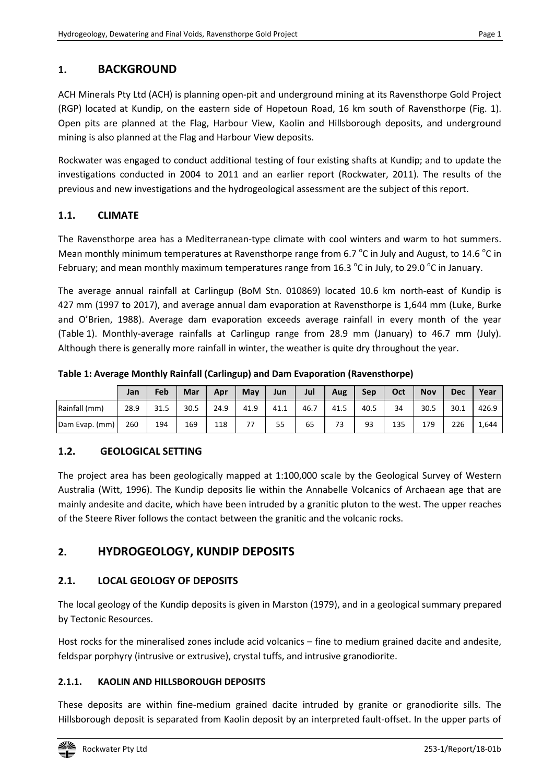# **1. BACKGROUND**

ACH Minerals Pty Ltd (ACH) is planning open-pit and underground mining at its Ravensthorpe Gold Project (RGP) located at Kundip, on the eastern side of Hopetoun Road, 16 km south of Ravensthorpe (Fig. 1). Open pits are planned at the Flag, Harbour View, Kaolin and Hillsborough deposits, and underground mining is also planned at the Flag and Harbour View deposits.

Rockwater was engaged to conduct additional testing of four existing shafts at Kundip; and to update the investigations conducted in 2004 to 2011 and an earlier report (Rockwater, 2011). The results of the previous and new investigations and the hydrogeological assessment are the subject of this report.

# **1.1. CLIMATE**

The Ravensthorpe area has a Mediterranean-type climate with cool winters and warm to hot summers. Mean monthly minimum temperatures at Ravensthorpe range from 6.7  $\rm{^oC}$  in July and August, to 14.6  $\rm{^oC}$  in February; and mean monthly maximum temperatures range from 16.3  $^{\circ}$ C in July, to 29.0  $^{\circ}$ C in January.

The average annual rainfall at Carlingup (BoM Stn. 010869) located 10.6 km north-east of Kundip is 427 mm (1997 to 2017), and average annual dam evaporation at Ravensthorpe is 1,644 mm (Luke, Burke and O'Brien, 1988). Average dam evaporation exceeds average rainfall in every month of the year (Table 1). Monthly-average rainfalls at Carlingup range from 28.9 mm (January) to 46.7 mm (July). Although there is generally more rainfall in winter, the weather is quite dry throughout the year.

**Table 1: Average Monthly Rainfall (Carlingup) and Dam Evaporation (Ravensthorpe)** 

|                | Jan  | Feb  | Mar  | Apr  | May  | Jun  | Jul  | Aug  | Sep  | Oct | <b>Nov</b> | <b>Dec</b> | Year  |
|----------------|------|------|------|------|------|------|------|------|------|-----|------------|------------|-------|
| Rainfall (mm)  | 28.9 | 31.5 | 30.5 | 24.9 | 41.9 | 41.1 | 46.7 | 41.5 | 40.5 | 34  | 30.5       | 30.1       | 426.9 |
| Dam Evap. (mm) | 260  | 194  | 169  | 118  | 77   | 55   | 65   | 73   | 93   | 135 | 179        | 226        | 1,644 |

# **1.2. GEOLOGICAL SETTING**

The project area has been geologically mapped at 1:100,000 scale by the Geological Survey of Western Australia (Witt, 1996). The Kundip deposits lie within the Annabelle Volcanics of Archaean age that are mainly andesite and dacite, which have been intruded by a granitic pluton to the west. The upper reaches of the Steere River follows the contact between the granitic and the volcanic rocks.

# **2. HYDROGEOLOGY, KUNDIP DEPOSITS**

# **2.1. LOCAL GEOLOGY OF DEPOSITS**

The local geology of the Kundip deposits is given in Marston (1979), and in a geological summary prepared by Tectonic Resources.

Host rocks for the mineralised zones include acid volcanics – fine to medium grained dacite and andesite, feldspar porphyry (intrusive or extrusive), crystal tuffs, and intrusive granodiorite.

# **2.1.1. KAOLIN AND HILLSBOROUGH DEPOSITS**

These deposits are within fine-medium grained dacite intruded by granite or granodiorite sills. The Hillsborough deposit is separated from Kaolin deposit by an interpreted fault-offset. In the upper parts of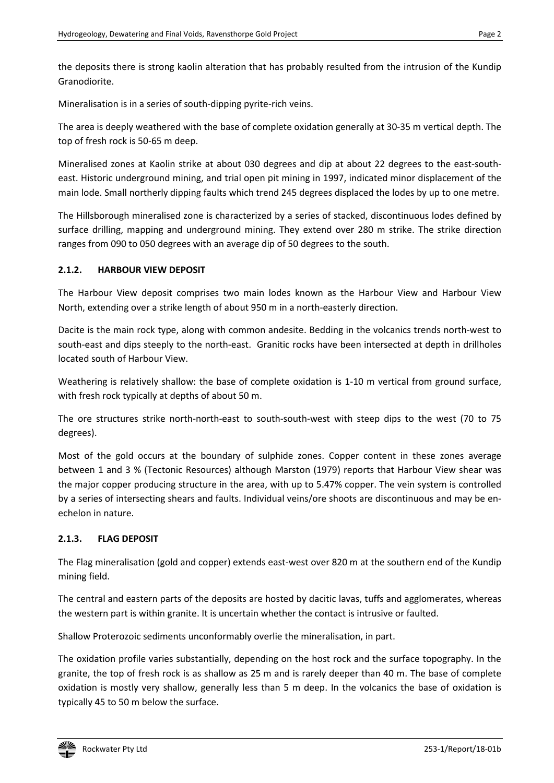the deposits there is strong kaolin alteration that has probably resulted from the intrusion of the Kundip Granodiorite.

Mineralisation is in a series of south-dipping pyrite-rich veins.

The area is deeply weathered with the base of complete oxidation generally at 30-35 m vertical depth. The top of fresh rock is 50-65 m deep.

Mineralised zones at Kaolin strike at about 030 degrees and dip at about 22 degrees to the east-southeast. Historic underground mining, and trial open pit mining in 1997, indicated minor displacement of the main lode. Small northerly dipping faults which trend 245 degrees displaced the lodes by up to one metre.

The Hillsborough mineralised zone is characterized by a series of stacked, discontinuous lodes defined by surface drilling, mapping and underground mining. They extend over 280 m strike. The strike direction ranges from 090 to 050 degrees with an average dip of 50 degrees to the south.

#### **2.1.2. HARBOUR VIEW DEPOSIT**

The Harbour View deposit comprises two main lodes known as the Harbour View and Harbour View North, extending over a strike length of about 950 m in a north-easterly direction.

Dacite is the main rock type, along with common andesite. Bedding in the volcanics trends north-west to south-east and dips steeply to the north-east. Granitic rocks have been intersected at depth in drillholes located south of Harbour View.

Weathering is relatively shallow: the base of complete oxidation is 1-10 m vertical from ground surface, with fresh rock typically at depths of about 50 m.

The ore structures strike north-north-east to south-south-west with steep dips to the west (70 to 75 degrees).

Most of the gold occurs at the boundary of sulphide zones. Copper content in these zones average between 1 and 3 % (Tectonic Resources) although Marston (1979) reports that Harbour View shear was the major copper producing structure in the area, with up to 5.47% copper. The vein system is controlled by a series of intersecting shears and faults. Individual veins/ore shoots are discontinuous and may be enechelon in nature.

# **2.1.3. FLAG DEPOSIT**

The Flag mineralisation (gold and copper) extends east-west over 820 m at the southern end of the Kundip mining field.

The central and eastern parts of the deposits are hosted by dacitic lavas, tuffs and agglomerates, whereas the western part is within granite. It is uncertain whether the contact is intrusive or faulted.

Shallow Proterozoic sediments unconformably overlie the mineralisation, in part.

The oxidation profile varies substantially, depending on the host rock and the surface topography. In the granite, the top of fresh rock is as shallow as 25 m and is rarely deeper than 40 m. The base of complete oxidation is mostly very shallow, generally less than 5 m deep. In the volcanics the base of oxidation is typically 45 to 50 m below the surface.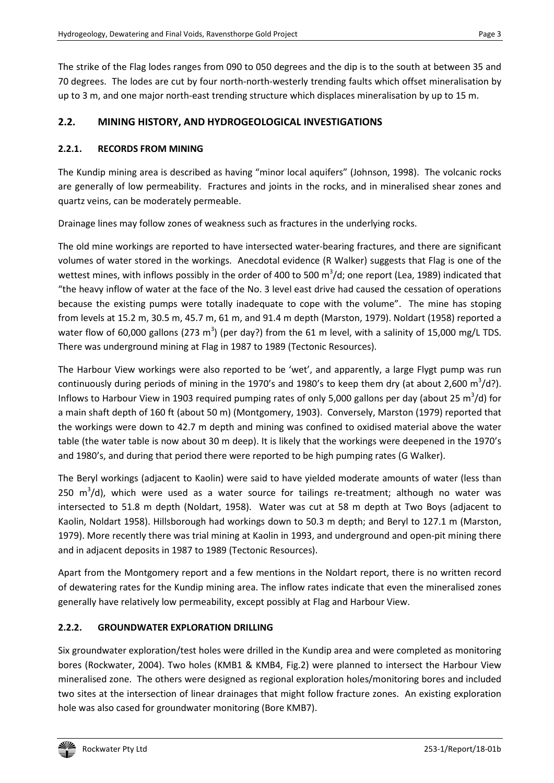The strike of the Flag lodes ranges from 090 to 050 degrees and the dip is to the south at between 35 and 70 degrees. The lodes are cut by four north-north-westerly trending faults which offset mineralisation by up to 3 m, and one major north-east trending structure which displaces mineralisation by up to 15 m.

#### **2.2. MINING HISTORY, AND HYDROGEOLOGICAL INVESTIGATIONS**

#### **2.2.1. RECORDS FROM MINING**

The Kundip mining area is described as having "minor local aquifers" (Johnson, 1998). The volcanic rocks are generally of low permeability. Fractures and joints in the rocks, and in mineralised shear zones and quartz veins, can be moderately permeable.

Drainage lines may follow zones of weakness such as fractures in the underlying rocks.

The old mine workings are reported to have intersected water-bearing fractures, and there are significant volumes of water stored in the workings. Anecdotal evidence (R Walker) suggests that Flag is one of the wettest mines, with inflows possibly in the order of 400 to 500 m<sup>3</sup>/d; one report (Lea, 1989) indicated that "the heavy inflow of water at the face of the No. 3 level east drive had caused the cessation of operations because the existing pumps were totally inadequate to cope with the volume". The mine has stoping from levels at 15.2 m, 30.5 m, 45.7 m, 61 m, and 91.4 m depth (Marston, 1979). Noldart (1958) reported a water flow of 60,000 gallons (273 m<sup>3</sup>) (per day?) from the 61 m level, with a salinity of 15,000 mg/L TDS. There was underground mining at Flag in 1987 to 1989 (Tectonic Resources).

The Harbour View workings were also reported to be 'wet', and apparently, a large Flygt pump was run continuously during periods of mining in the 1970's and 1980's to keep them dry (at about 2,600 m<sup>3</sup>/d?). Inflows to Harbour View in 1903 required pumping rates of only 5,000 gallons per day (about 25  $m^3$ /d) for a main shaft depth of 160 ft (about 50 m) (Montgomery, 1903). Conversely, Marston (1979) reported that the workings were down to 42.7 m depth and mining was confined to oxidised material above the water table (the water table is now about 30 m deep). It is likely that the workings were deepened in the 1970's and 1980's, and during that period there were reported to be high pumping rates (G Walker).

The Beryl workings (adjacent to Kaolin) were said to have yielded moderate amounts of water (less than 250  $m^3/d$ ), which were used as a water source for tailings re-treatment; although no water was intersected to 51.8 m depth (Noldart, 1958). Water was cut at 58 m depth at Two Boys (adjacent to Kaolin, Noldart 1958). Hillsborough had workings down to 50.3 m depth; and Beryl to 127.1 m (Marston, 1979). More recently there was trial mining at Kaolin in 1993, and underground and open-pit mining there and in adjacent deposits in 1987 to 1989 (Tectonic Resources).

Apart from the Montgomery report and a few mentions in the Noldart report, there is no written record of dewatering rates for the Kundip mining area. The inflow rates indicate that even the mineralised zones generally have relatively low permeability, except possibly at Flag and Harbour View.

#### **2.2.2. GROUNDWATER EXPLORATION DRILLING**

Six groundwater exploration/test holes were drilled in the Kundip area and were completed as monitoring bores (Rockwater, 2004). Two holes (KMB1 & KMB4, Fig.2) were planned to intersect the Harbour View mineralised zone. The others were designed as regional exploration holes/monitoring bores and included two sites at the intersection of linear drainages that might follow fracture zones. An existing exploration hole was also cased for groundwater monitoring (Bore KMB7).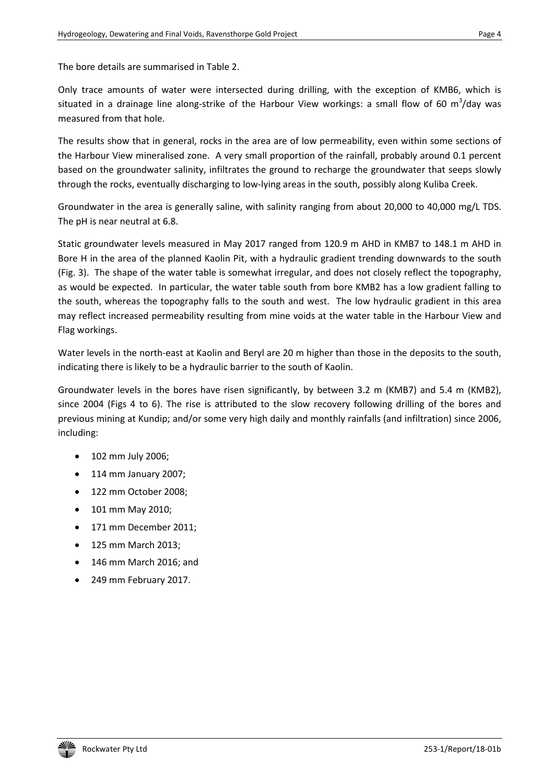The bore details are summarised in Table 2.

Only trace amounts of water were intersected during drilling, with the exception of KMB6, which is situated in a drainage line along-strike of the Harbour View workings: a small flow of 60 m<sup>3</sup>/day was measured from that hole.

The results show that in general, rocks in the area are of low permeability, even within some sections of the Harbour View mineralised zone. A very small proportion of the rainfall, probably around 0.1 percent based on the groundwater salinity, infiltrates the ground to recharge the groundwater that seeps slowly through the rocks, eventually discharging to low-lying areas in the south, possibly along Kuliba Creek.

Groundwater in the area is generally saline, with salinity ranging from about 20,000 to 40,000 mg/L TDS. The pH is near neutral at 6.8.

Static groundwater levels measured in May 2017 ranged from 120.9 m AHD in KMB7 to 148.1 m AHD in Bore H in the area of the planned Kaolin Pit, with a hydraulic gradient trending downwards to the south (Fig. 3). The shape of the water table is somewhat irregular, and does not closely reflect the topography, as would be expected. In particular, the water table south from bore KMB2 has a low gradient falling to the south, whereas the topography falls to the south and west. The low hydraulic gradient in this area may reflect increased permeability resulting from mine voids at the water table in the Harbour View and Flag workings.

Water levels in the north-east at Kaolin and Beryl are 20 m higher than those in the deposits to the south, indicating there is likely to be a hydraulic barrier to the south of Kaolin.

Groundwater levels in the bores have risen significantly, by between 3.2 m (KMB7) and 5.4 m (KMB2), since 2004 (Figs 4 to 6). The rise is attributed to the slow recovery following drilling of the bores and previous mining at Kundip; and/or some very high daily and monthly rainfalls (and infiltration) since 2006, including:

- 102 mm July 2006;
- 114 mm January 2007;
- 122 mm October 2008;
- 101 mm May 2010;
- 171 mm December 2011;
- 125 mm March 2013;
- 146 mm March 2016; and
- 249 mm February 2017.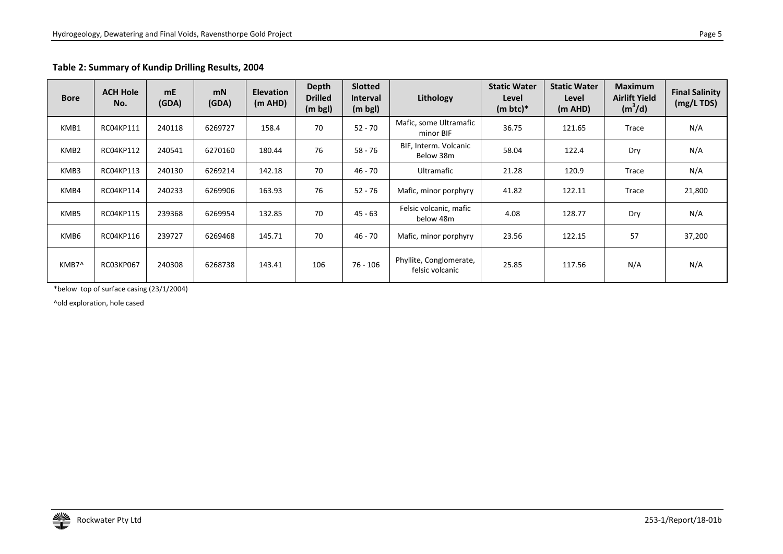### **Table 2: Summary of Kundip Drilling Results, 2004**

| <b>Bore</b>      | <b>ACH Hole</b><br>No. | mE<br>(GDA) | <b>mN</b><br>(GDA) | <b>Elevation</b><br>(m AHD) | <b>Depth</b><br><b>Drilled</b><br>(m bgl) | <b>Slotted</b><br><b>Interval</b><br>$(m \text{ bgl})$ | Lithology                                  | <b>Static Water</b><br>Level<br>$(m btc)*$ | <b>Static Water</b><br>Level<br>(m AHD) | <b>Maximum</b><br><b>Airlift Yield</b><br>$(m^3/d)$ | <b>Final Salinity</b><br>(mg/L TDS) |
|------------------|------------------------|-------------|--------------------|-----------------------------|-------------------------------------------|--------------------------------------------------------|--------------------------------------------|--------------------------------------------|-----------------------------------------|-----------------------------------------------------|-------------------------------------|
| KMB1             | RC04KP111              | 240118      | 6269727            | 158.4                       | 70                                        | $52 - 70$                                              | Mafic, some Ultramafic<br>minor BIF        | 36.75                                      | 121.65                                  | Trace                                               | N/A                                 |
| KMB <sub>2</sub> | RC04KP112              | 240541      | 6270160            | 180.44                      | 76                                        | 58 - 76                                                | BIF, Interm. Volcanic<br>Below 38m         | 58.04                                      | 122.4                                   | Dry                                                 | N/A                                 |
| KMB3             | RC04KP113              | 240130      | 6269214            | 142.18                      | 70                                        | 46 - 70                                                | Ultramafic                                 | 21.28                                      | 120.9                                   | Trace                                               | N/A                                 |
| KMB4             | RC04KP114              | 240233      | 6269906            | 163.93                      | 76                                        | 52 - 76                                                | Mafic, minor porphyry                      | 41.82                                      | 122.11                                  | Trace                                               | 21,800                              |
| KMB5             | RC04KP115              | 239368      | 6269954            | 132.85                      | 70                                        | 45 - 63                                                | Felsic volcanic, mafic<br>below 48m        | 4.08                                       | 128.77                                  | Dry                                                 | N/A                                 |
| KMB6             | RC04KP116              | 239727      | 6269468            | 145.71                      | 70                                        | 46 - 70                                                | Mafic, minor porphyry                      | 23.56                                      | 122.15                                  | 57                                                  | 37,200                              |
| KMB7^            | <b>RC03KP067</b>       | 240308      | 6268738            | 143.41                      | 106                                       | 76 - 106                                               | Phyllite, Conglomerate,<br>felsic volcanic | 25.85                                      | 117.56                                  | N/A                                                 | N/A                                 |

\*below top of surface casing (23/1/2004)

^old exploration, hole cased

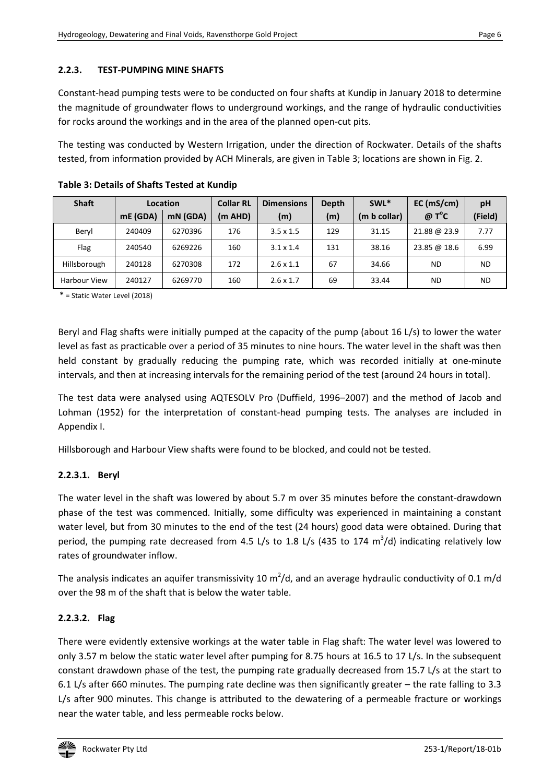#### **2.2.3. TEST-PUMPING MINE SHAFTS**

Constant-head pumping tests were to be conducted on four shafts at Kundip in January 2018 to determine the magnitude of groundwater flows to underground workings, and the range of hydraulic conductivities for rocks around the workings and in the area of the planned open-cut pits.

The testing was conducted by Western Irrigation, under the direction of Rockwater. Details of the shafts tested, from information provided by ACH Minerals, are given in Table 3; locations are shown in Fig. 2.

| <b>Shaft</b>        | Location |          | <b>Collar RL</b> | <b>Dimensions</b> | Depth | SWL <sup>*</sup> | EC (mS/cm)    | pH      |
|---------------------|----------|----------|------------------|-------------------|-------|------------------|---------------|---------|
|                     | mE (GDA) | mN (GDA) | (m AHD)          | (m)               | (m)   | (m b collar)     | $@T^{\circ}C$ | (Field) |
| Beryl               | 240409   | 6270396  | 176              | $3.5 \times 1.5$  | 129   | 31.15            | 21.88 @ 23.9  | 7.77    |
| Flag                | 240540   | 6269226  | 160              | $3.1 \times 1.4$  | 131   | 38.16            | 23.85 @ 18.6  | 6.99    |
| Hillsborough        | 240128   | 6270308  | 172              | $2.6 \times 1.1$  | 67    | 34.66            | <b>ND</b>     | ND.     |
| <b>Harbour View</b> | 240127   | 6269770  | 160              | $2.6 \times 1.7$  | 69    | 33.44            | ND            | ND.     |

**Table 3: Details of Shafts Tested at Kundip** 

\* = Static Water Level (2018)

Beryl and Flag shafts were initially pumped at the capacity of the pump (about 16 L/s) to lower the water level as fast as practicable over a period of 35 minutes to nine hours. The water level in the shaft was then held constant by gradually reducing the pumping rate, which was recorded initially at one-minute intervals, and then at increasing intervals for the remaining period of the test (around 24 hours in total).

The test data were analysed using AQTESOLV Pro (Duffield, 1996–2007) and the method of Jacob and Lohman (1952) for the interpretation of constant-head pumping tests. The analyses are included in Appendix I.

Hillsborough and Harbour View shafts were found to be blocked, and could not be tested.

#### **2.2.3.1. Beryl**

The water level in the shaft was lowered by about 5.7 m over 35 minutes before the constant-drawdown phase of the test was commenced. Initially, some difficulty was experienced in maintaining a constant water level, but from 30 minutes to the end of the test (24 hours) good data were obtained. During that period, the pumping rate decreased from 4.5 L/s to 1.8 L/s (435 to 174  $m^3/d$ ) indicating relatively low rates of groundwater inflow.

The analysis indicates an aquifer transmissivity 10 m<sup>2</sup>/d, and an average hydraulic conductivity of 0.1 m/d over the 98 m of the shaft that is below the water table.

#### **2.2.3.2. Flag**

There were evidently extensive workings at the water table in Flag shaft: The water level was lowered to only 3.57 m below the static water level after pumping for 8.75 hours at 16.5 to 17 L/s. In the subsequent constant drawdown phase of the test, the pumping rate gradually decreased from 15.7 L/s at the start to 6.1 L/s after 660 minutes. The pumping rate decline was then significantly greater – the rate falling to 3.3 L/s after 900 minutes. This change is attributed to the dewatering of a permeable fracture or workings near the water table, and less permeable rocks below.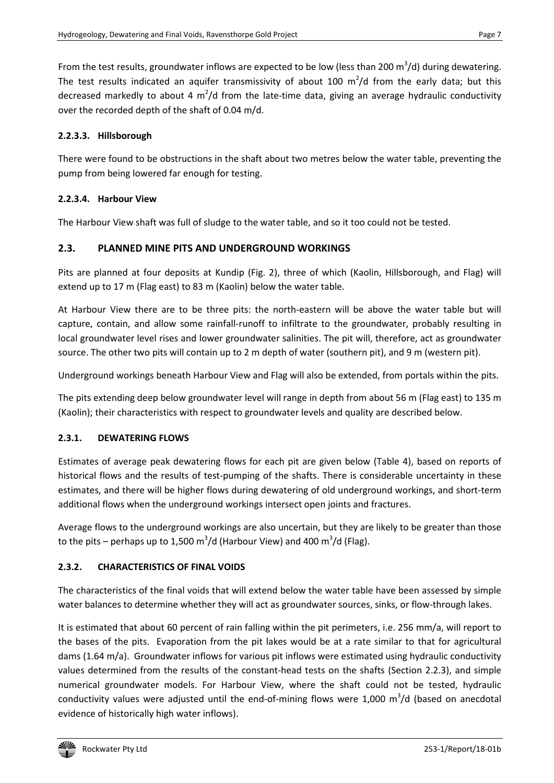From the test results, groundwater inflows are expected to be low (less than 200  $\text{m}^3/\text{d}$ ) during dewatering. The test results indicated an aquifer transmissivity of about 100  $m^2/d$  from the early data; but this decreased markedly to about 4 m<sup>2</sup>/d from the late-time data, giving an average hydraulic conductivity over the recorded depth of the shaft of 0.04 m/d.

#### **2.2.3.3. Hillsborough**

There were found to be obstructions in the shaft about two metres below the water table, preventing the pump from being lowered far enough for testing.

#### **2.2.3.4. Harbour View**

The Harbour View shaft was full of sludge to the water table, and so it too could not be tested.

#### **2.3. PLANNED MINE PITS AND UNDERGROUND WORKINGS**

Pits are planned at four deposits at Kundip (Fig. 2), three of which (Kaolin, Hillsborough, and Flag) will extend up to 17 m (Flag east) to 83 m (Kaolin) below the water table.

At Harbour View there are to be three pits: the north-eastern will be above the water table but will capture, contain, and allow some rainfall-runoff to infiltrate to the groundwater, probably resulting in local groundwater level rises and lower groundwater salinities. The pit will, therefore, act as groundwater source. The other two pits will contain up to 2 m depth of water (southern pit), and 9 m (western pit).

Underground workings beneath Harbour View and Flag will also be extended, from portals within the pits.

The pits extending deep below groundwater level will range in depth from about 56 m (Flag east) to 135 m (Kaolin); their characteristics with respect to groundwater levels and quality are described below.

#### **2.3.1. DEWATERING FLOWS**

Estimates of average peak dewatering flows for each pit are given below (Table 4), based on reports of historical flows and the results of test-pumping of the shafts. There is considerable uncertainty in these estimates, and there will be higher flows during dewatering of old underground workings, and short-term additional flows when the underground workings intersect open joints and fractures.

Average flows to the underground workings are also uncertain, but they are likely to be greater than those to the pits – perhaps up to 1,500 m<sup>3</sup>/d (Harbour View) and 400 m<sup>3</sup>/d (Flag).

# **2.3.2. CHARACTERISTICS OF FINAL VOIDS**

The characteristics of the final voids that will extend below the water table have been assessed by simple water balances to determine whether they will act as groundwater sources, sinks, or flow-through lakes.

It is estimated that about 60 percent of rain falling within the pit perimeters, i.e. 256 mm/a, will report to the bases of the pits. Evaporation from the pit lakes would be at a rate similar to that for agricultural dams (1.64 m/a). Groundwater inflows for various pit inflows were estimated using hydraulic conductivity values determined from the results of the constant-head tests on the shafts (Section 2.2.3), and simple numerical groundwater models. For Harbour View, where the shaft could not be tested, hydraulic conductivity values were adjusted until the end-of-mining flows were  $1,000$  m<sup>3</sup>/d (based on anecdotal evidence of historically high water inflows).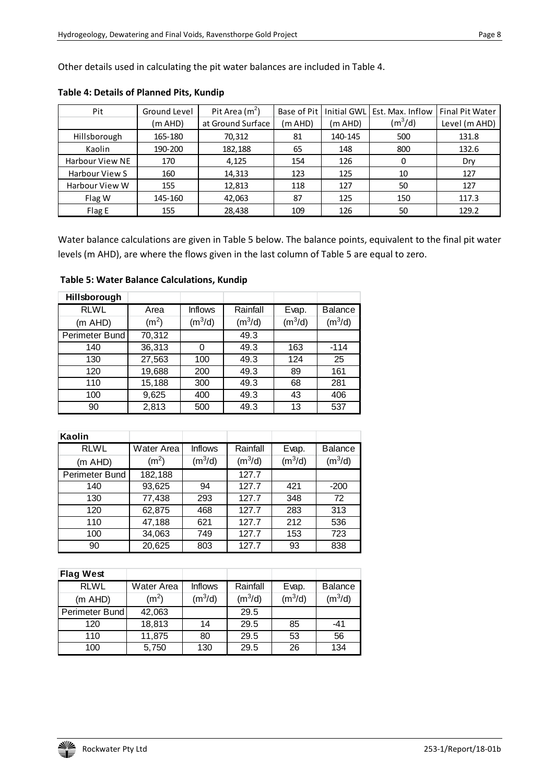Other details used in calculating the pit water balances are included in Table 4.

| Pit                    | Ground Level | Pit Area $(m2)$   | Base of Pit | <b>Initial GWL</b> | Est. Max. Inflow | <b>Final Pit Water</b> |
|------------------------|--------------|-------------------|-------------|--------------------|------------------|------------------------|
|                        | (m AHD)      | at Ground Surface | (m AHD)     | (m AHD)            | $(m^3/d)$        | Level (m AHD)          |
| Hillsborough           | 165-180      | 70,312            | 81          | 140-145            | 500              | 131.8                  |
| Kaolin                 | 190-200      | 182,188           | 65          | 148                | 800              | 132.6                  |
| <b>Harbour View NE</b> | 170          | 4,125             | 154         | 126                | 0                | Dry                    |
| Harbour View S         | 160          | 14,313            | 123         | 125                | 10               | 127                    |
| Harbour View W         | 155          | 12,813            | 118         | 127                | 50               | 127                    |
| Flag W                 | 145-160      | 42,063            | 87          | 125                | 150              | 117.3                  |
| Flag E                 | 155          | 28,438            | 109         | 126                | 50               | 129.2                  |

#### **Table 4: Details of Planned Pits, Kundip**

Water balance calculations are given in Table 5 below. The balance points, equivalent to the final pit water levels (m AHD), are where the flows given in the last column of Table 5 are equal to zero.

 **Table 5: Water Balance Calculations, Kundip** 

| Hillsborough   |                   |                |                     |                     |                     |
|----------------|-------------------|----------------|---------------------|---------------------|---------------------|
| <b>RLWL</b>    | Area              | <b>Inflows</b> | Rainfall            | Evap.               | <b>Balance</b>      |
| (m AHD)        | (m <sup>2</sup> ) | $(m^3/d)$      | (m <sup>3</sup> /d) | (m <sup>3</sup> /d) | (m <sup>3</sup> /d) |
| Perimeter Bund | 70,312            |                | 49.3                |                     |                     |
| 140            | 36,313            | 0              | 49.3                | 163                 | $-114$              |
| 130            | 27,563            | 100            | 49.3                | 124                 | 25                  |
| 120            | 19,688            | 200            | 49.3                | 89                  | 161                 |
| 110            | 15,188            | 300            | 49.3                | 68                  | 281                 |
| 100            | 9,625             | 400            | 49.3                | 43                  | 406                 |
| 90             | 2,813             | 500            | 49.3                | 13                  | 537                 |

| Kaolin         |                   |                     |                     |                     |                     |
|----------------|-------------------|---------------------|---------------------|---------------------|---------------------|
| <b>RLWL</b>    | Water Area        | <b>Inflows</b>      | Rainfall            | Evap.               | <b>Balance</b>      |
| (m AHD)        | (m <sup>2</sup> ) | (m <sup>3</sup> /d) | (m <sup>3</sup> /d) | (m <sup>3</sup> /d) | (m <sup>3</sup> /d) |
| Perimeter Bund | 182,188           |                     | 127.7               |                     |                     |
| 140            | 93,625            | 94                  | 127.7               | 421                 | $-200$              |
| 130            | 77,438            | 293                 | 127.7               | 348                 | 72                  |
| 120            | 62,875            | 468                 | 127.7               | 283                 | 313                 |
| 110            | 47,188            | 621                 | 127.7               | 212                 | 536                 |
| 100            | 34,063            | 749                 | 127.7               | 153                 | 723                 |
| 90             | 20,625            | 803                 | 127.7               | 93                  | 838                 |

| <b>Flag West</b> |                   |                     |           |                     |                |
|------------------|-------------------|---------------------|-----------|---------------------|----------------|
| <b>RLWL</b>      | Water Area        | <b>Inflows</b>      | Rainfall  | Evap.               | <b>Balance</b> |
| (m AHD)          | (m <sup>2</sup> ) | (m <sup>3</sup> /d) | $(m^3/d)$ | (m <sup>3</sup> /d) | $(m^3/d)$      |
| Perimeter Bund   | 42,063            |                     | 29.5      |                     |                |
| 120              | 18,813            | 14                  | 29.5      | 85                  | -41            |
| 110              | 11,875            | 80                  | 29.5      | 53                  | 56             |
| 100              | 5,750             | 130                 | 29.5      | 26                  | 134            |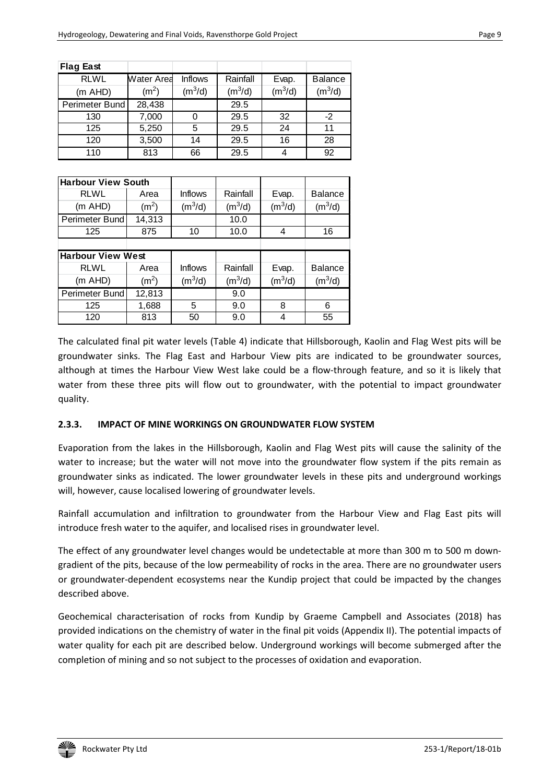| <b>Flag East</b>          |                   |                     |                     |                     |                     |  |  |  |
|---------------------------|-------------------|---------------------|---------------------|---------------------|---------------------|--|--|--|
| <b>RLWL</b>               | Water Area        | <b>Inflows</b>      | Rainfall            | Evap.               | <b>Balance</b>      |  |  |  |
| (m AHD)                   | (m <sup>2</sup> ) | (m <sup>3</sup> /d) | $(m^3/d)$           | (m <sup>3</sup> /d) | (m <sup>3</sup> /d) |  |  |  |
| Perimeter Bund            | 28,438            |                     | 29.5                |                     |                     |  |  |  |
| 130                       | 7,000             | 0                   | 29.5                | 32                  | $-2$                |  |  |  |
| 125                       | 5,250             | 5                   | 29.5                | 24                  | 11                  |  |  |  |
| 120                       | 3,500             | 14                  | 29.5                | 16                  | 28                  |  |  |  |
| 110                       | 813               | 66                  | 29.5                | 4                   | 92                  |  |  |  |
|                           |                   |                     |                     |                     |                     |  |  |  |
| <b>Harbour View South</b> |                   |                     |                     |                     |                     |  |  |  |
| <b>RLWL</b>               | Area              | <b>Inflows</b>      | Rainfall            | Evap.               | <b>Balance</b>      |  |  |  |
| (m AHD)                   | (m <sup>2</sup> ) | $(m^3/d)$           | (m <sup>3</sup> /d) | (m <sup>3</sup> /d) | $(m^3/d)$           |  |  |  |
| Perimeter Bund            | 14,313            |                     | 10.0                |                     |                     |  |  |  |
| 125                       | 875               | 10                  | 10.0                | 4                   | 16                  |  |  |  |
|                           |                   |                     |                     |                     |                     |  |  |  |
| <b>Harbour View West</b>  |                   |                     |                     |                     |                     |  |  |  |
| <b>RLWL</b>               | Area              | <b>Inflows</b>      | Rainfall            | Evap.               | <b>Balance</b>      |  |  |  |
| (m AHD)                   | (m <sup>2</sup> ) | (m <sup>3</sup> /d) | $(m^3/d)$           | $(m^3/d)$           | $(m^3/d)$           |  |  |  |
| Perimeter Bund            | 12,813            |                     | 9.0                 |                     |                     |  |  |  |
| 125                       | 1,688             | 5                   | 9.0                 | 8                   | 6                   |  |  |  |
| 120                       | 813               | 50                  | 9.0                 | 4                   | 55                  |  |  |  |

The calculated final pit water levels (Table 4) indicate that Hillsborough, Kaolin and Flag West pits will be groundwater sinks. The Flag East and Harbour View pits are indicated to be groundwater sources, although at times the Harbour View West lake could be a flow-through feature, and so it is likely that water from these three pits will flow out to groundwater, with the potential to impact groundwater quality.

#### **2.3.3. IMPACT OF MINE WORKINGS ON GROUNDWATER FLOW SYSTEM**

Evaporation from the lakes in the Hillsborough, Kaolin and Flag West pits will cause the salinity of the water to increase; but the water will not move into the groundwater flow system if the pits remain as groundwater sinks as indicated. The lower groundwater levels in these pits and underground workings will, however, cause localised lowering of groundwater levels.

Rainfall accumulation and infiltration to groundwater from the Harbour View and Flag East pits will introduce fresh water to the aquifer, and localised rises in groundwater level.

The effect of any groundwater level changes would be undetectable at more than 300 m to 500 m downgradient of the pits, because of the low permeability of rocks in the area. There are no groundwater users or groundwater-dependent ecosystems near the Kundip project that could be impacted by the changes described above.

Geochemical characterisation of rocks from Kundip by Graeme Campbell and Associates (2018) has provided indications on the chemistry of water in the final pit voids (Appendix II). The potential impacts of water quality for each pit are described below. Underground workings will become submerged after the completion of mining and so not subject to the processes of oxidation and evaporation.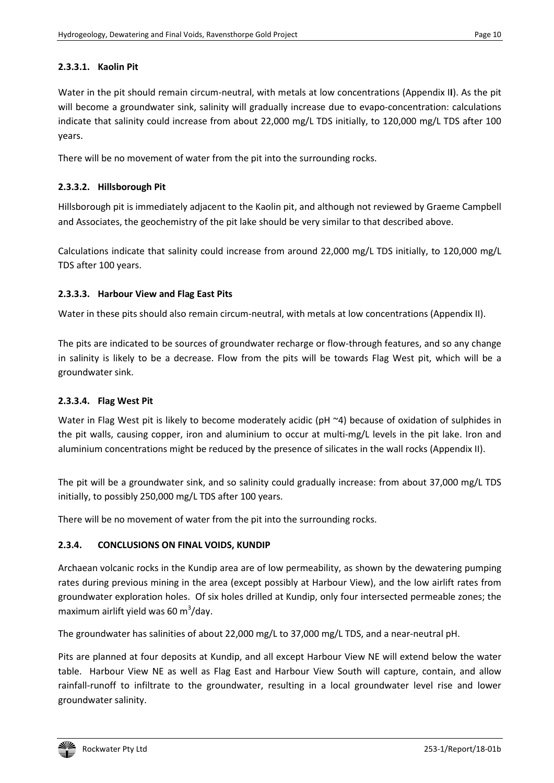#### **2.3.3.1. Kaolin Pit**

Water in the pit should remain circum-neutral, with metals at low concentrations (Appendix I**I**). As the pit will become a groundwater sink, salinity will gradually increase due to evapo-concentration: calculations indicate that salinity could increase from about 22,000 mg/L TDS initially, to 120,000 mg/L TDS after 100 years.

There will be no movement of water from the pit into the surrounding rocks.

#### **2.3.3.2. Hillsborough Pit**

Hillsborough pit is immediately adjacent to the Kaolin pit, and although not reviewed by Graeme Campbell and Associates, the geochemistry of the pit lake should be very similar to that described above.

Calculations indicate that salinity could increase from around 22,000 mg/L TDS initially, to 120,000 mg/L TDS after 100 years.

#### **2.3.3.3. Harbour View and Flag East Pits**

Water in these pits should also remain circum-neutral, with metals at low concentrations (Appendix II).

The pits are indicated to be sources of groundwater recharge or flow-through features, and so any change in salinity is likely to be a decrease. Flow from the pits will be towards Flag West pit, which will be a groundwater sink.

#### **2.3.3.4. Flag West Pit**

Water in Flag West pit is likely to become moderately acidic (pH ~4) because of oxidation of sulphides in the pit walls, causing copper, iron and aluminium to occur at multi-mg/L levels in the pit lake. Iron and aluminium concentrations might be reduced by the presence of silicates in the wall rocks (Appendix II).

The pit will be a groundwater sink, and so salinity could gradually increase: from about 37,000 mg/L TDS initially, to possibly 250,000 mg/L TDS after 100 years.

There will be no movement of water from the pit into the surrounding rocks.

#### **2.3.4. CONCLUSIONS ON FINAL VOIDS, KUNDIP**

Archaean volcanic rocks in the Kundip area are of low permeability, as shown by the dewatering pumping rates during previous mining in the area (except possibly at Harbour View), and the low airlift rates from groundwater exploration holes. Of six holes drilled at Kundip, only four intersected permeable zones; the maximum airlift yield was 60 m $3$ /day.

The groundwater has salinities of about 22,000 mg/L to 37,000 mg/L TDS, and a near-neutral pH.

Pits are planned at four deposits at Kundip, and all except Harbour View NE will extend below the water table. Harbour View NE as well as Flag East and Harbour View South will capture, contain, and allow rainfall-runoff to infiltrate to the groundwater, resulting in a local groundwater level rise and lower groundwater salinity.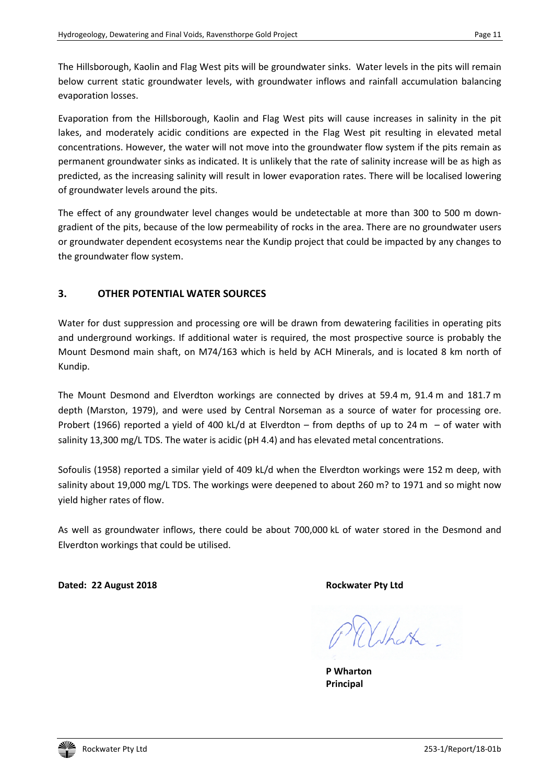The Hillsborough, Kaolin and Flag West pits will be groundwater sinks. Water levels in the pits will remain below current static groundwater levels, with groundwater inflows and rainfall accumulation balancing evaporation losses.

Evaporation from the Hillsborough, Kaolin and Flag West pits will cause increases in salinity in the pit lakes, and moderately acidic conditions are expected in the Flag West pit resulting in elevated metal concentrations. However, the water will not move into the groundwater flow system if the pits remain as permanent groundwater sinks as indicated. It is unlikely that the rate of salinity increase will be as high as predicted, as the increasing salinity will result in lower evaporation rates. There will be localised lowering of groundwater levels around the pits.

The effect of any groundwater level changes would be undetectable at more than 300 to 500 m downgradient of the pits, because of the low permeability of rocks in the area. There are no groundwater users or groundwater dependent ecosystems near the Kundip project that could be impacted by any changes to the groundwater flow system.

# **3. OTHER POTENTIAL WATER SOURCES**

Water for dust suppression and processing ore will be drawn from dewatering facilities in operating pits and underground workings. If additional water is required, the most prospective source is probably the Mount Desmond main shaft, on M74/163 which is held by ACH Minerals, and is located 8 km north of Kundip.

The Mount Desmond and Elverdton workings are connected by drives at 59.4 m, 91.4 m and 181.7 m depth (Marston, 1979), and were used by Central Norseman as a source of water for processing ore. Probert (1966) reported a yield of 400 kL/d at Elverdton – from depths of up to 24 m – of water with salinity 13,300 mg/L TDS. The water is acidic (pH 4.4) and has elevated metal concentrations.

Sofoulis (1958) reported a similar yield of 409 kL/d when the Elverdton workings were 152 m deep, with salinity about 19,000 mg/L TDS. The workings were deepened to about 260 m? to 1971 and so might now yield higher rates of flow.

As well as groundwater inflows, there could be about 700,000 kL of water stored in the Desmond and Elverdton workings that could be utilised.

**Dated: 22 August 2018 Rockwater Pty Ltd** 

 $\mathbb{Z}$ 

**P Wharton Principal**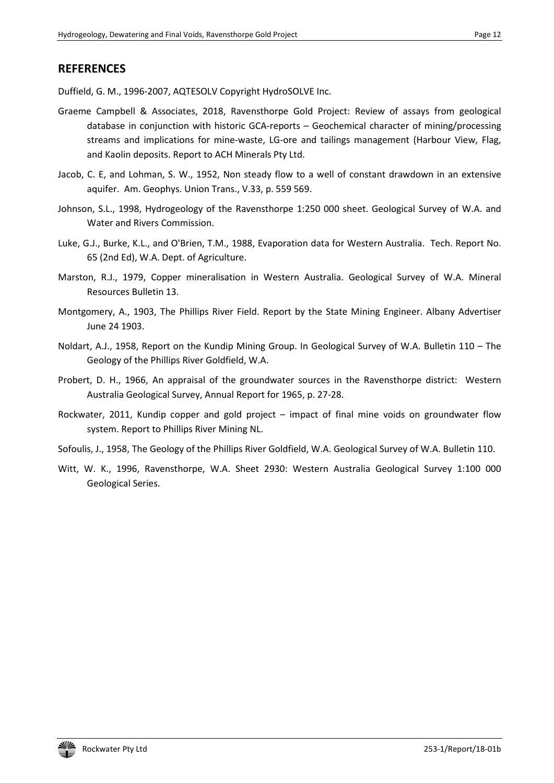# **REFERENCES**

Duffield, G. M., 1996-2007, AQTESOLV Copyright HydroSOLVE Inc.

- Graeme Campbell & Associates, 2018, Ravensthorpe Gold Project: Review of assays from geological database in conjunction with historic GCA-reports – Geochemical character of mining/processing streams and implications for mine-waste, LG-ore and tailings management (Harbour View, Flag, and Kaolin deposits. Report to ACH Minerals Pty Ltd.
- Jacob, C. E, and Lohman, S. W., 1952, Non steady flow to a well of constant drawdown in an extensive aquifer. Am. Geophys. Union Trans., V.33, p. 559 569.
- Johnson, S.L., 1998, Hydrogeology of the Ravensthorpe 1:250 000 sheet. Geological Survey of W.A. and Water and Rivers Commission.
- Luke, G.J., Burke, K.L., and O'Brien, T.M., 1988, Evaporation data for Western Australia. Tech. Report No. 65 (2nd Ed), W.A. Dept. of Agriculture.
- Marston, R.J., 1979, Copper mineralisation in Western Australia. Geological Survey of W.A. Mineral Resources Bulletin 13.
- Montgomery, A., 1903, The Phillips River Field. Report by the State Mining Engineer. Albany Advertiser June 24 1903.
- Noldart, A.J., 1958, Report on the Kundip Mining Group. In Geological Survey of W.A. Bulletin 110 The Geology of the Phillips River Goldfield, W.A.
- Probert, D. H., 1966, An appraisal of the groundwater sources in the Ravensthorpe district: Western Australia Geological Survey, Annual Report for 1965, p. 27-28.
- Rockwater, 2011, Kundip copper and gold project impact of final mine voids on groundwater flow system. Report to Phillips River Mining NL.
- Sofoulis, J., 1958, The Geology of the Phillips River Goldfield, W.A. Geological Survey of W.A. Bulletin 110.
- Witt, W. K., 1996, Ravensthorpe, W.A. Sheet 2930: Western Australia Geological Survey 1:100 000 Geological Series.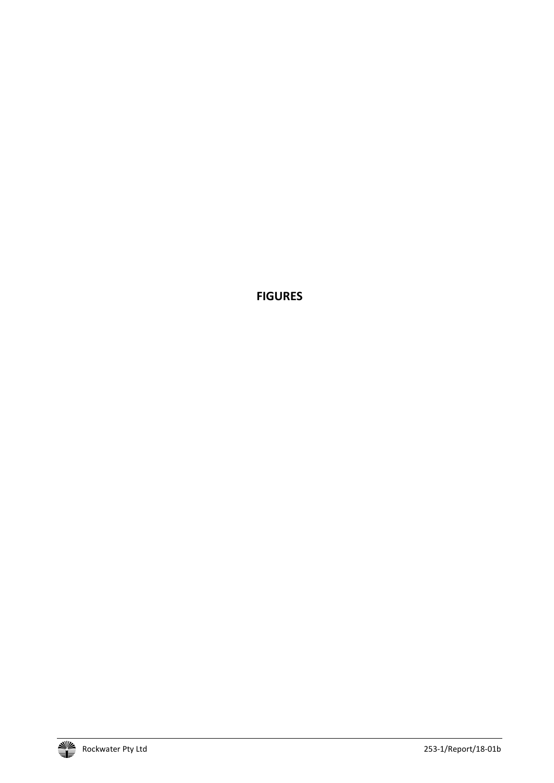**FIGURES**

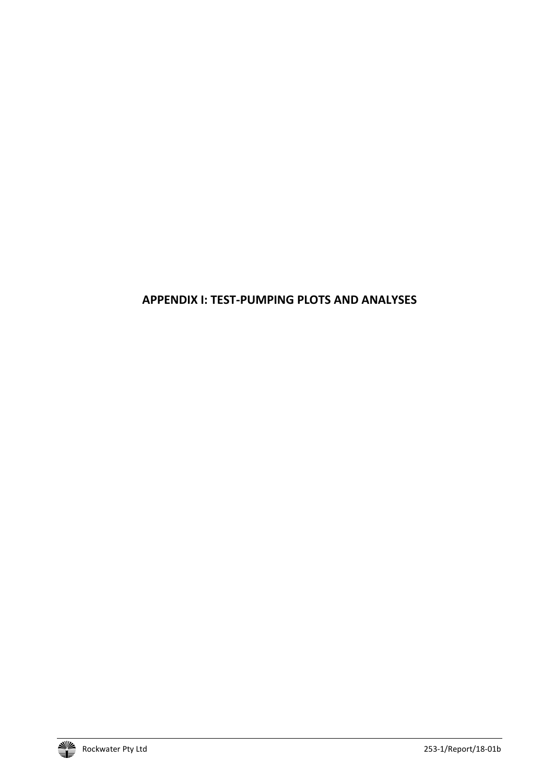# **APPENDIX I: TEST-PUMPING PLOTS AND ANALYSES**